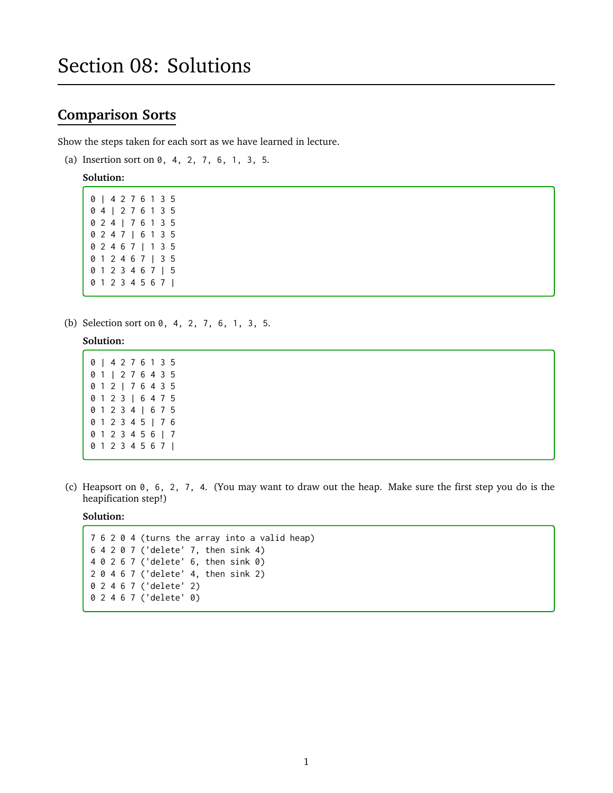# **Comparison Sorts**

Show the steps taken for each sort as we have learned in lecture.

(a) Insertion sort on 0, 4, 2, 7, 6, 1, 3, 5.

#### **Solution:**

(b) Selection sort on 0, 4, 2, 7, 6, 1, 3, 5.

#### **Solution:**

- 0 | 4 2 7 6 1 3 5 0 1 | 2 7 6 4 3 5 0 1 2 | 7 6 4 3 5 0 1 2 3 | 6 4 7 5 0 1 2 3 4 | 6 7 5 0 1 2 3 4 5 | 7 6 0 1 2 3 4 5 6 | 7 0 1 2 3 4 5 6 7 |
- (c) Heapsort on 0, 6, 2, 7, 4. (You may want to draw out the heap. Make sure the first step you do is the heapification step!)

### **Solution:**

```
7 6 2 0 4 (turns the array into a valid heap)
6 4 2 0 7 ('delete' 7, then sink 4)
4 0 2 6 7 ('delete' 6, then sink 0)
2 0 4 6 7 ('delete' 4, then sink 2)
0 2 4 6 7 ('delete' 2)
0 2 4 6 7 ('delete' 0)
```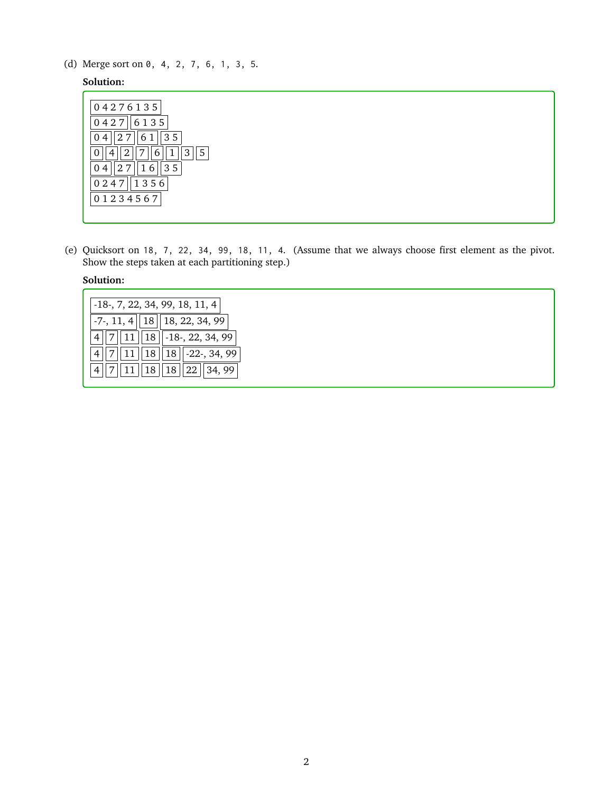(d) Merge sort on 0, 4, 2, 7, 6, 1, 3, 5.

# **Solution:**

| 04276135                             |
|--------------------------------------|
| 6135<br>0427                         |
| 35 <sub>1</sub><br>61<br>27<br>04    |
| 5<br>2<br>п<br>3<br>0<br>ヮ<br>4<br>b |
| 35<br>27<br>04<br>1<br>6             |
| 1356<br>0247                         |
| 01234567                             |

(e) Quicksort on 18, 7, 22, 34, 99, 18, 11, 4. (Assume that we always choose first element as the pivot. Show the steps taken at each partitioning step.)

### **Solution:**

| $-18$ , 7, 22, 34, 99, 18, 11, 4                              |
|---------------------------------------------------------------|
| $-7$ , 11, 4   18   18, 22, 34, 99                            |
| $\ 18\ $ -18-, 22, 34, 99                                     |
| $7  11  18  18  -22$ -, 34, 99                                |
| $\vert 11 \vert \vert 18 \vert \vert 18 \vert 22 \vert 34,99$ |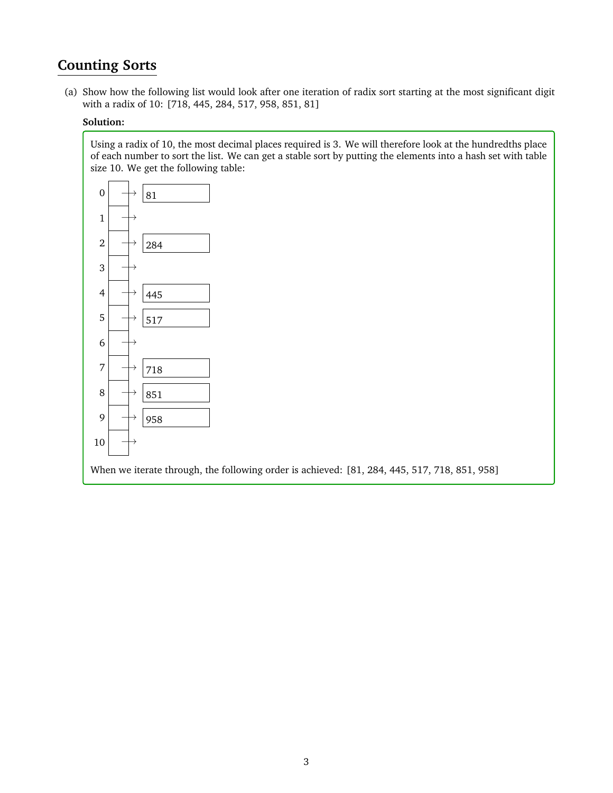# **Counting Sorts**

(a) Show how the following list would look after one iteration of radix sort starting at the most significant digit with a radix of 10: [718, 445, 284, 517, 958, 851, 81]

## **Solution:**

Using a radix of 10, the most decimal places required is 3. We will therefore look at the hundredths place of each number to sort the list. We can get a stable sort by putting the elements into a hash set with table size 10. We get the following table:

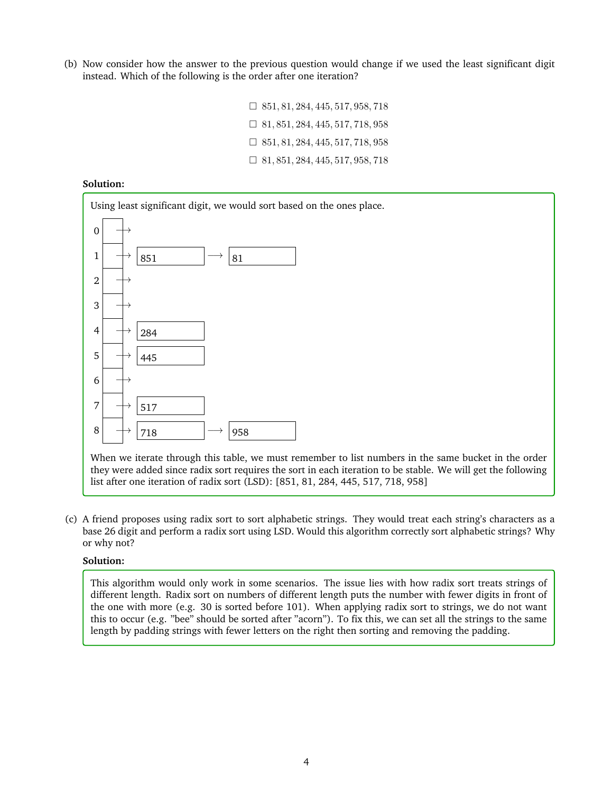(b) Now consider how the answer to the previous question would change if we used the least significant digit instead. Which of the following is the order after one iteration?

| $\Box$ 851, 81, 284, 445, 517, 958, 718 |
|-----------------------------------------|
| $\Box$ 81, 851, 284, 445, 517, 718, 958 |
| $\Box$ 851, 81, 284, 445, 517, 718, 958 |
| $\Box$ 81, 851, 284, 445, 517, 958, 718 |

#### **Solution:**



(c) A friend proposes using radix sort to sort alphabetic strings. They would treat each string's characters as a base 26 digit and perform a radix sort using LSD. Would this algorithm correctly sort alphabetic strings? Why or why not?

## **Solution:**

This algorithm would only work in some scenarios. The issue lies with how radix sort treats strings of different length. Radix sort on numbers of different length puts the number with fewer digits in front of the one with more (e.g. 30 is sorted before 101). When applying radix sort to strings, we do not want this to occur (e.g. "bee" should be sorted after "acorn"). To fix this, we can set all the strings to the same length by padding strings with fewer letters on the right then sorting and removing the padding.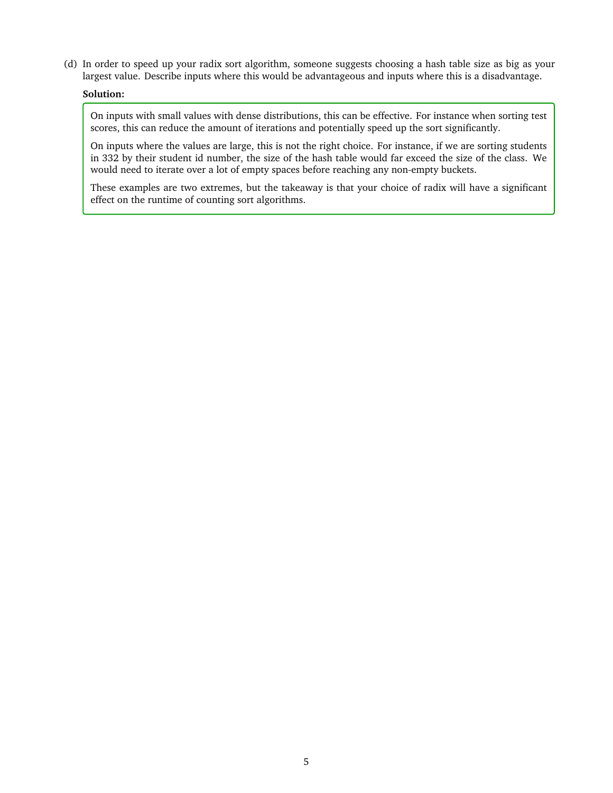(d) In order to speed up your radix sort algorithm, someone suggests choosing a hash table size as big as your largest value. Describe inputs where this would be advantageous and inputs where this is a disadvantage.

## **Solution:**

On inputs with small values with dense distributions, this can be effective. For instance when sorting test scores, this can reduce the amount of iterations and potentially speed up the sort significantly.

On inputs where the values are large, this is not the right choice. For instance, if we are sorting students in 332 by their student id number, the size of the hash table would far exceed the size of the class. We would need to iterate over a lot of empty spaces before reaching any non-empty buckets.

These examples are two extremes, but the takeaway is that your choice of radix will have a significant effect on the runtime of counting sort algorithms.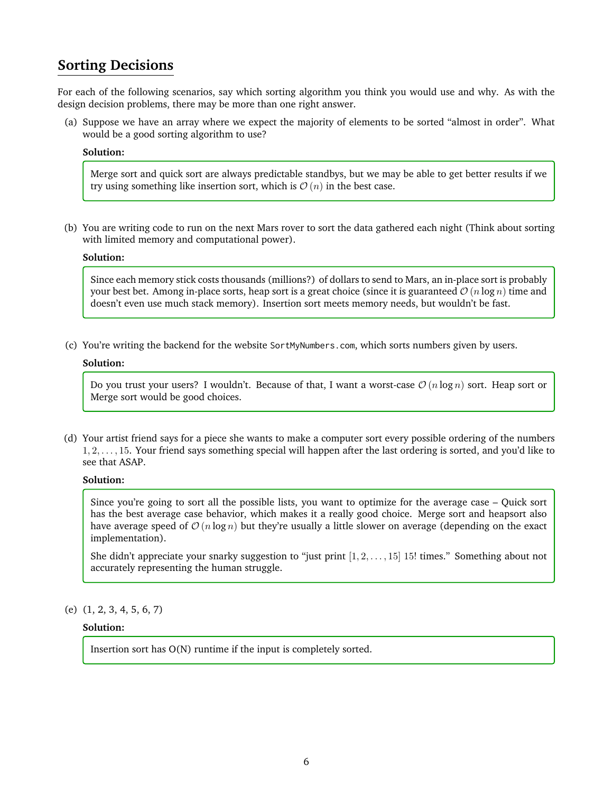# **Sorting Decisions**

For each of the following scenarios, say which sorting algorithm you think you would use and why. As with the design decision problems, there may be more than one right answer.

(a) Suppose we have an array where we expect the majority of elements to be sorted "almost in order". What would be a good sorting algorithm to use?

## **Solution:**

Merge sort and quick sort are always predictable standbys, but we may be able to get better results if we try using something like insertion sort, which is  $\mathcal{O}(n)$  in the best case.

(b) You are writing code to run on the next Mars rover to sort the data gathered each night (Think about sorting with limited memory and computational power).

#### **Solution:**

Since each memory stick costs thousands (millions?) of dollars to send to Mars, an in-place sort is probably your best bet. Among in-place sorts, heap sort is a great choice (since it is guaranteed  $O(n \log n)$  time and doesn't even use much stack memory). Insertion sort meets memory needs, but wouldn't be fast.

(c) You're writing the backend for the website SortMyNumbers.com, which sorts numbers given by users.

#### **Solution:**

Do you trust your users? I wouldn't. Because of that, I want a worst-case  $\mathcal{O}(n \log n)$  sort. Heap sort or Merge sort would be good choices.

(d) Your artist friend says for a piece she wants to make a computer sort every possible ordering of the numbers 1, 2, . . . , 15. Your friend says something special will happen after the last ordering is sorted, and you'd like to see that ASAP.

## **Solution:**

Since you're going to sort all the possible lists, you want to optimize for the average case – Quick sort has the best average case behavior, which makes it a really good choice. Merge sort and heapsort also have average speed of  $\mathcal{O}(n \log n)$  but they're usually a little slower on average (depending on the exact implementation).

She didn't appreciate your snarky suggestion to "just print [1, 2, . . . , 15] 15! times." Something about not accurately representing the human struggle.

### (e) (1, 2, 3, 4, 5, 6, 7)

#### **Solution:**

Insertion sort has O(N) runtime if the input is completely sorted.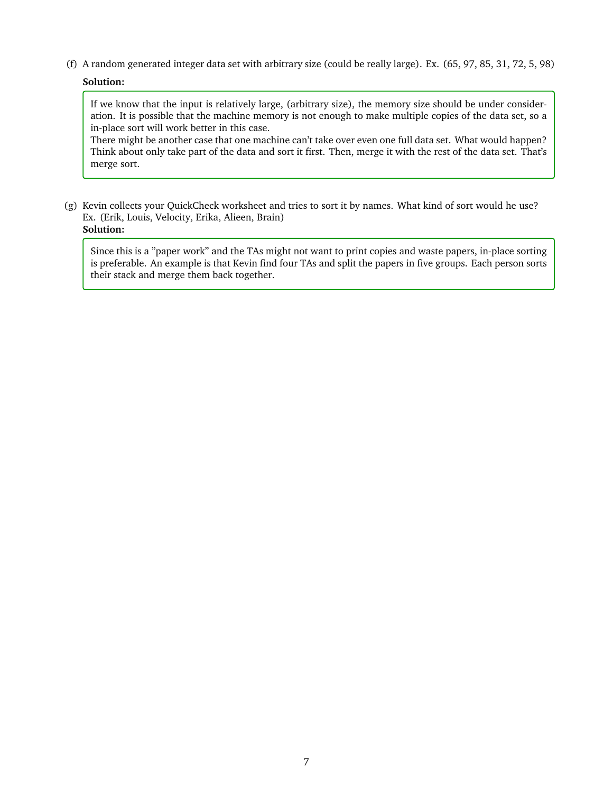(f) A random generated integer data set with arbitrary size (could be really large). Ex. (65, 97, 85, 31, 72, 5, 98)

## **Solution:**

If we know that the input is relatively large, (arbitrary size), the memory size should be under consideration. It is possible that the machine memory is not enough to make multiple copies of the data set, so a in-place sort will work better in this case.

There might be another case that one machine can't take over even one full data set. What would happen? Think about only take part of the data and sort it first. Then, merge it with the rest of the data set. That's merge sort.

(g) Kevin collects your QuickCheck worksheet and tries to sort it by names. What kind of sort would he use? Ex. (Erik, Louis, Velocity, Erika, Alieen, Brain) **Solution:**

Since this is a "paper work" and the TAs might not want to print copies and waste papers, in-place sorting is preferable. An example is that Kevin find four TAs and split the papers in five groups. Each person sorts their stack and merge them back together.